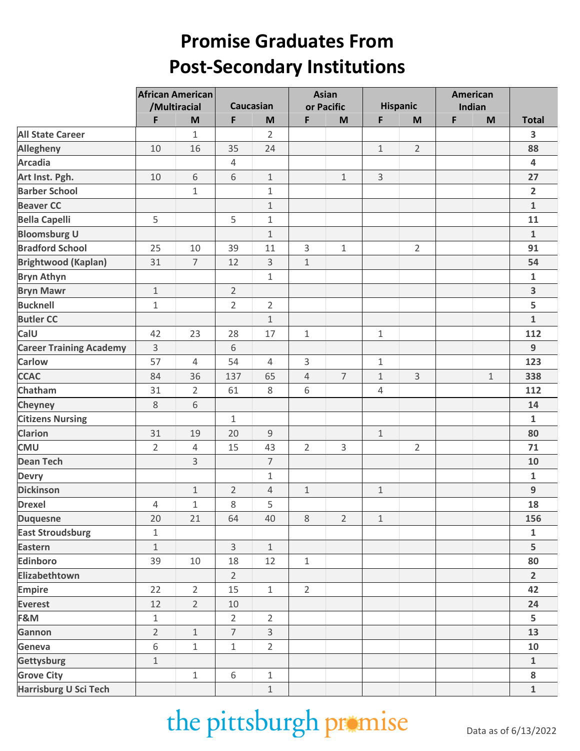## **Promise Graduates From Post-Secondary Institutions**

|                                | <b>African American</b> |                |                  |                |                | <b>Asian</b>   | American     |                |        |             |                         |
|--------------------------------|-------------------------|----------------|------------------|----------------|----------------|----------------|--------------|----------------|--------|-------------|-------------------------|
|                                | /Multiracial            |                | <b>Caucasian</b> |                | or Pacific     |                | Hispanic     |                | Indian |             |                         |
|                                | F                       | M              | F                | M              | F              | M              | F            | M              | F      | M           | <b>Total</b>            |
| <b>All State Career</b>        |                         | $\mathbf{1}$   |                  | $\overline{2}$ |                |                |              |                |        |             | 3                       |
| <b>Allegheny</b>               | 10                      | 16             | 35               | 24             |                |                | $\mathbf 1$  | $\overline{2}$ |        |             | 88                      |
| <b>Arcadia</b>                 |                         |                | $\overline{4}$   |                |                |                |              |                |        |             | $\overline{\mathbf{4}}$ |
| Art Inst. Pgh.                 | 10                      | 6              | 6                | $1\,$          |                | $\mathbf 1$    | 3            |                |        |             | 27                      |
| <b>Barber School</b>           |                         | $\mathbf{1}$   |                  | $\mathbf{1}$   |                |                |              |                |        |             | $\overline{2}$          |
| <b>Beaver CC</b>               |                         |                |                  | $\mathbf 1$    |                |                |              |                |        |             | $\mathbf{1}$            |
| <b>Bella Capelli</b>           | 5                       |                | 5                | $\mathbf{1}$   |                |                |              |                |        |             | 11                      |
| <b>Bloomsburg U</b>            |                         |                |                  | $1\,$          |                |                |              |                |        |             | $\mathbf 1$             |
| <b>Bradford School</b>         | 25                      | 10             | 39               | 11             | 3              | $\mathbf 1$    |              | $\overline{2}$ |        |             | 91                      |
| <b>Brightwood (Kaplan)</b>     | 31                      | $\overline{7}$ | 12               | 3              | $\mathbf 1$    |                |              |                |        |             | 54                      |
| <b>Bryn Athyn</b>              |                         |                |                  | $\mathbf{1}$   |                |                |              |                |        |             | $\mathbf{1}$            |
| <b>Bryn Mawr</b>               | $\mathbf{1}$            |                | $\overline{2}$   |                |                |                |              |                |        |             | 3                       |
| <b>Bucknell</b>                | $\mathbf{1}$            |                | $\overline{2}$   | $\overline{2}$ |                |                |              |                |        |             | 5                       |
| <b>Butler CC</b>               |                         |                |                  | $1\,$          |                |                |              |                |        |             | $\mathbf{1}$            |
| CalU                           | 42                      | 23             | 28               | 17             | $\mathbf 1$    |                | $\mathbf 1$  |                |        |             | 112                     |
| <b>Career Training Academy</b> | 3                       |                | 6                |                |                |                |              |                |        |             | $\overline{9}$          |
| <b>Carlow</b>                  | 57                      | $\overline{4}$ | 54               | $\overline{4}$ | 3              |                | $\mathbf{1}$ |                |        |             | 123                     |
| <b>CCAC</b>                    | 84                      | 36             | 137              | 65             | $\overline{4}$ | $\overline{7}$ | $\mathbf 1$  | 3              |        | $\mathbf 1$ | 338                     |
| Chatham                        | 31                      | $\overline{2}$ | 61               | 8              | 6              |                | 4            |                |        |             | 112                     |
| <b>Cheyney</b>                 | 8                       | 6              |                  |                |                |                |              |                |        |             | ${\bf 14}$              |
| <b>Citizens Nursing</b>        |                         |                | $\mathbf{1}$     |                |                |                |              |                |        |             | $\mathbf 1$             |
| <b>Clarion</b>                 | 31                      | 19             | 20               | 9              |                |                | $\mathbf 1$  |                |        |             | 80                      |
| <b>CMU</b>                     | $\overline{2}$          | $\overline{4}$ | 15               | 43             | $\overline{2}$ | 3              |              | $\overline{2}$ |        |             | 71                      |
| <b>Dean Tech</b>               |                         | 3              |                  | $\overline{7}$ |                |                |              |                |        |             | 10                      |
| <b>Devry</b>                   |                         |                |                  | $\mathbf{1}$   |                |                |              |                |        |             | $\mathbf 1$             |
| <b>Dickinson</b>               |                         | $1\,$          | $\overline{2}$   | 4              | $1\,$          |                | $1\,$        |                |        |             | $\boldsymbol{9}$        |
| <b>Drexel</b>                  | 4                       | $\mathbf 1$    | 8                | 5              |                |                |              |                |        |             | 18                      |
| <b>Duquesne</b>                | 20                      | 21             | 64               | 40             | $\,8\,$        | $\overline{2}$ | $1\,$        |                |        |             | 156                     |
| <b>East Stroudsburg</b>        | $\mathbf{1}$            |                |                  |                |                |                |              |                |        |             | $\mathbf{1}$            |
| <b>Eastern</b>                 | $\mathbf{1}$            |                | 3                | $\mathbf 1$    |                |                |              |                |        |             | 5                       |
| Edinboro                       | 39                      | 10             | 18               | 12             | $\mathbf 1$    |                |              |                |        |             | 80                      |
| Elizabethtown                  |                         |                | $\overline{2}$   |                |                |                |              |                |        |             | $\overline{2}$          |
| <b>Empire</b>                  | 22                      | $\overline{2}$ | 15               | $\mathbf{1}$   | $\overline{2}$ |                |              |                |        |             | 42                      |
| <b>Everest</b>                 | 12                      | $\overline{2}$ | 10               |                |                |                |              |                |        |             | 24                      |
| F&M                            | $\mathbf{1}$            |                | $\overline{2}$   | $\overline{2}$ |                |                |              |                |        |             | 5                       |
| Gannon                         | $\overline{2}$          | $\mathbf 1$    | $\overline{7}$   | $\overline{3}$ |                |                |              |                |        |             | 13                      |
| Geneva                         | 6                       | $\mathbf{1}$   | $\mathbf{1}$     | $\overline{2}$ |                |                |              |                |        |             | 10                      |
| Gettysburg                     | $\mathbf{1}$            |                |                  |                |                |                |              |                |        |             | $\mathbf 1$             |
| <b>Grove City</b>              |                         | $1\,$          | 6                | $\mathbf 1$    |                |                |              |                |        |             | 8                       |
| Harrisburg U Sci Tech          |                         |                |                  | $\mathbf 1$    |                |                |              |                |        |             | $\mathbf{1}$            |

## the pittsburgh promise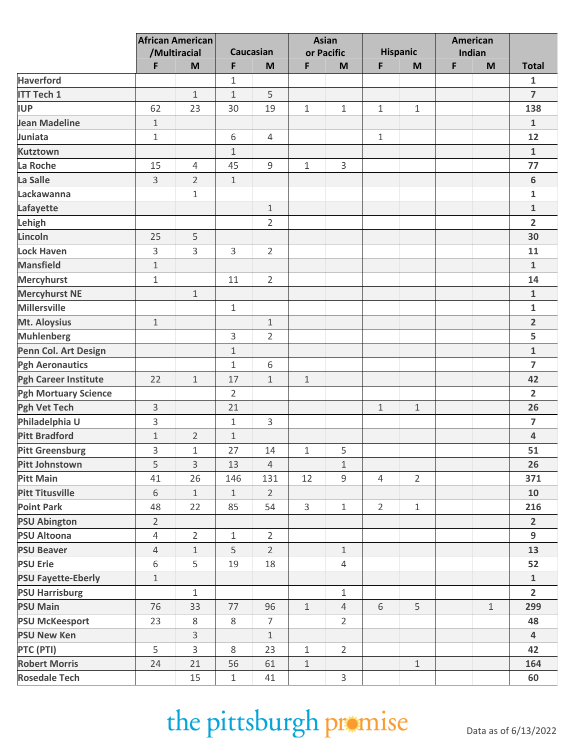|                             | <b>African American</b><br>/Multiracial |                |                  |                |              | <b>Asian</b>   |                 |                |        | American    |                         |
|-----------------------------|-----------------------------------------|----------------|------------------|----------------|--------------|----------------|-----------------|----------------|--------|-------------|-------------------------|
|                             |                                         |                | <b>Caucasian</b> |                | or Pacific   |                | <b>Hispanic</b> |                | Indian |             |                         |
|                             | F                                       | M              | F                | M              | F            | M              | F               | M              | F      | M           | <b>Total</b>            |
| <b>Haverford</b>            |                                         |                | 1                |                |              |                |                 |                |        |             | $\mathbf{1}$            |
| <b>ITT Tech 1</b>           |                                         | $\mathbf{1}$   | $\mathbf 1$      | 5              |              |                |                 |                |        |             | $\overline{7}$          |
| <b>IUP</b>                  | 62                                      | 23             | 30               | 19             | 1            | $\mathbf 1$    | $\mathbf{1}$    | $\mathbf 1$    |        |             | 138                     |
| <b>Jean Madeline</b>        | $\mathbf 1$                             |                |                  |                |              |                |                 |                |        |             | $\mathbf{1}$            |
| Juniata                     | $1\,$                                   |                | 6                | $\overline{4}$ |              |                | $\mathbf{1}$    |                |        |             | 12                      |
| <b>Kutztown</b>             |                                         |                | $1\,$            |                |              |                |                 |                |        |             | $\mathbf{1}$            |
| La Roche                    | 15                                      | 4              | 45               | $\mathsf g$    | 1            | 3              |                 |                |        |             | 77                      |
| La Salle                    | 3                                       | $\overline{2}$ | $\mathbf{1}$     |                |              |                |                 |                |        |             | 6                       |
| Lackawanna                  |                                         | $\mathbf 1$    |                  |                |              |                |                 |                |        |             | $\mathbf{1}$            |
| Lafayette                   |                                         |                |                  | $\mathbf 1$    |              |                |                 |                |        |             | $\mathbf 1$             |
| Lehigh                      |                                         |                |                  | $\overline{2}$ |              |                |                 |                |        |             | $\overline{2}$          |
| Lincoln                     | 25                                      | 5              |                  |                |              |                |                 |                |        |             | 30                      |
| <b>Lock Haven</b>           | 3                                       | 3              | 3                | $\overline{2}$ |              |                |                 |                |        |             | 11                      |
| <b>Mansfield</b>            | $1\,$                                   |                |                  |                |              |                |                 |                |        |             | $\mathbf{1}$            |
| <b>Mercyhurst</b>           | $1\,$                                   |                | 11               | $\overline{2}$ |              |                |                 |                |        |             | 14                      |
| <b>Mercyhurst NE</b>        |                                         | $1\,$          |                  |                |              |                |                 |                |        |             | $\mathbf{1}$            |
| <b>Millersville</b>         |                                         |                | $\mathbf 1$      |                |              |                |                 |                |        |             | $\mathbf{1}$            |
| Mt. Aloysius                | $1\,$                                   |                |                  | $\mathbf 1$    |              |                |                 |                |        |             | $\overline{2}$          |
| <b>Muhlenberg</b>           |                                         |                | 3                | $\overline{2}$ |              |                |                 |                |        |             | 5                       |
| Penn Col. Art Design        |                                         |                | $1\,$            |                |              |                |                 |                |        |             | $\mathbf{1}$            |
| <b>Pgh Aeronautics</b>      |                                         |                | $\mathbf 1$      | 6              |              |                |                 |                |        |             | $\overline{7}$          |
| <b>Pgh Career Institute</b> | 22                                      | $1\,$          | 17               | $\mathbf{1}$   | $\mathbf 1$  |                |                 |                |        |             | 42                      |
| <b>Pgh Mortuary Science</b> |                                         |                | $\overline{2}$   |                |              |                |                 |                |        |             | $\overline{2}$          |
| <b>Pgh Vet Tech</b>         | 3                                       |                | 21               |                |              |                | $\mathbf{1}$    | $\mathbf{1}$   |        |             | 26                      |
| Philadelphia U              | 3                                       |                | $\mathbf 1$      | 3              |              |                |                 |                |        |             | $\overline{7}$          |
| <b>Pitt Bradford</b>        | $1\,$                                   | $\overline{2}$ | $\mathbf 1$      |                |              |                |                 |                |        |             | $\overline{\mathbf{4}}$ |
| <b>Pitt Greensburg</b>      | 3                                       | $\mathbf{1}$   | 27               | 14             | 1            | 5              |                 |                |        |             | 51                      |
| <b>Pitt Johnstown</b>       | 5                                       | 3              | 13               | $\overline{4}$ |              | $1\,$          |                 |                |        |             | 26                      |
| <b>Pitt Main</b>            | 41                                      | 26             | 146              | 131            | 12           | 9              | $\overline{4}$  | $\overline{2}$ |        |             | 371                     |
| <b>Pitt Titusville</b>      | 6                                       | $\mathbf{1}$   | $\mathbf 1$      | $\overline{2}$ |              |                |                 |                |        |             | 10                      |
| <b>Point Park</b>           | 48                                      | 22             | 85               | 54             | 3            | $\mathbf{1}$   | $\overline{2}$  | $\mathbf 1$    |        |             | 216                     |
| <b>PSU Abington</b>         | $\overline{2}$                          |                |                  |                |              |                |                 |                |        |             | $\overline{2}$          |
| <b>PSU Altoona</b>          | 4                                       | $\overline{2}$ | $\mathbf{1}$     | $\overline{2}$ |              |                |                 |                |        |             | 9                       |
| <b>PSU Beaver</b>           | $\overline{4}$                          | $\mathbf 1$    | 5                | $\overline{2}$ |              | $\mathbf{1}$   |                 |                |        |             | 13                      |
| <b>PSU Erie</b>             | 6                                       | 5              | 19               | 18             |              | $\overline{4}$ |                 |                |        |             | 52                      |
| <b>PSU Fayette-Eberly</b>   | $\mathbf{1}$                            |                |                  |                |              |                |                 |                |        |             | $\mathbf 1$             |
| <b>PSU Harrisburg</b>       |                                         | $\mathbf{1}$   |                  |                |              | $\mathbf{1}$   |                 |                |        |             | $\overline{2}$          |
| <b>PSU Main</b>             | 76                                      | 33             | $77$             | 96             | $\mathbf{1}$ | $\overline{4}$ | 6               | 5              |        | $\mathbf 1$ | 299                     |
| <b>PSU McKeesport</b>       | 23                                      | 8              | 8                | $\overline{7}$ |              | $\overline{2}$ |                 |                |        |             | 48                      |
| <b>PSU New Ken</b>          |                                         | $\mathsf{3}$   |                  | $\mathbf 1$    |              |                |                 |                |        |             | $\overline{4}$          |
| PTC (PTI)                   | 5                                       | $\overline{3}$ | 8                | 23             | $\mathbf{1}$ | $\overline{2}$ |                 |                |        |             | 42                      |
| <b>Robert Morris</b>        | 24                                      | 21             | 56               | 61             | $\mathbf 1$  |                |                 | $\mathbf 1$    |        |             | 164                     |
| <b>Rosedale Tech</b>        |                                         | 15             | $\mathbf{1}$     | 41             |              | 3              |                 |                |        |             | 60                      |

## the pittsburgh promise